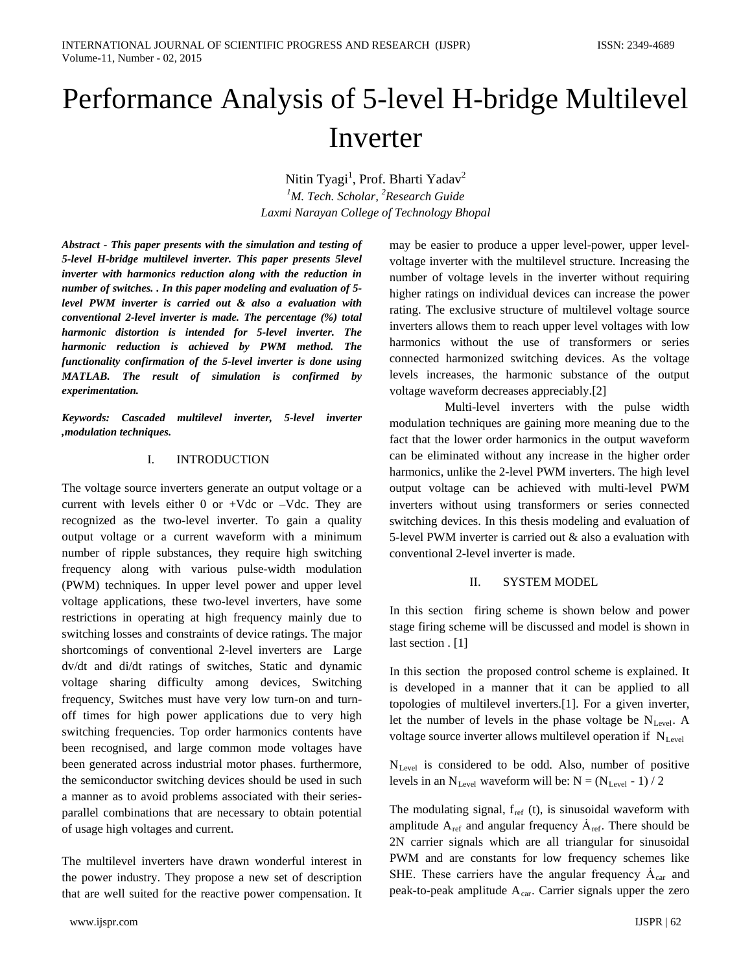# Performance Analysis of 5-level H-bridge Multilevel Inverter

Nitin Tyagi<sup>1</sup>, Prof. Bharti Yadav<sup>2</sup> *1 M. Tech. Scholar, 2 Research Guide Laxmi Narayan College of Technology Bhopal*

*Abstract - This paper presents with the simulation and testing of 5-level H-bridge multilevel inverter. This paper presents 5level inverter with harmonics reduction along with the reduction in number of switches. . In this paper modeling and evaluation of 5 level PWM inverter is carried out & also a evaluation with conventional 2-level inverter is made. The percentage (%) total harmonic distortion is intended for 5-level inverter. The harmonic reduction is achieved by PWM method. The functionality confirmation of the 5-level inverter is done using MATLAB. The result of simulation is confirmed by experimentation.*

*Keywords: Cascaded multilevel inverter, 5-level inverter ,modulation techniques.*

#### I. INTRODUCTION

The voltage source inverters generate an output voltage or a current with levels either  $0$  or  $+Vdc$  or  $-Vdc$ . They are recognized as the two-level inverter. To gain a quality output voltage or a current waveform with a minimum number of ripple substances, they require high switching frequency along with various pulse-width modulation (PWM) techniques. In upper level power and upper level voltage applications, these two-level inverters, have some restrictions in operating at high frequency mainly due to switching losses and constraints of device ratings. The major shortcomings of conventional 2-level inverters are Large dv/dt and di/dt ratings of switches, Static and dynamic voltage sharing difficulty among devices, Switching frequency, Switches must have very low turn-on and turnoff times for high power applications due to very high switching frequencies. Top order harmonics contents have been recognised, and large common mode voltages have been generated across industrial motor phases. furthermore, the semiconductor switching devices should be used in such a manner as to avoid problems associated with their seriesparallel combinations that are necessary to obtain potential of usage high voltages and current.

The multilevel inverters have drawn wonderful interest in the power industry. They propose a new set of description that are well suited for the reactive power compensation. It

may be easier to produce a upper level-power, upper levelvoltage inverter with the multilevel structure. Increasing the number of voltage levels in the inverter without requiring higher ratings on individual devices can increase the power rating. The exclusive structure of multilevel voltage source inverters allows them to reach upper level voltages with low harmonics without the use of transformers or series connected harmonized switching devices. As the voltage levels increases, the harmonic substance of the output voltage waveform decreases appreciably.[2]

 Multi-level inverters with the pulse width modulation techniques are gaining more meaning due to the fact that the lower order harmonics in the output waveform can be eliminated without any increase in the higher order harmonics, unlike the 2-level PWM inverters. The high level output voltage can be achieved with multi-level PWM inverters without using transformers or series connected switching devices. In this thesis modeling and evaluation of 5-level PWM inverter is carried out & also a evaluation with conventional 2-level inverter is made.

#### II. SYSTEM MODEL

In this section firing scheme is shown below and power stage firing scheme will be discussed and model is shown in last section . [1]

In this section the proposed control scheme is explained. It is developed in a manner that it can be applied to all topologies of multilevel inverters.[1]. For a given inverter, let the number of levels in the phase voltage be  $N_{Level}$ . A voltage source inverter allows multilevel operation if  $N_{\text{Level}}$ 

NLevel is considered to be odd. Also, number of positive levels in an  $N_{Level}$  waveform will be:  $N = (N_{Level} - 1) / 2$ 

The modulating signal,  $f_{ref}$  (t), is sinusoidal waveform with amplitude  $A_{ref}$  and angular frequency  $A_{ref}$ . There should be 2N carrier signals which are all triangular for sinusoidal PWM and are constants for low frequency schemes like SHE. These carriers have the angular frequency  $A<sub>car</sub>$  and peak-to-peak amplitude  $A<sub>car</sub>$ . Carrier signals upper the zero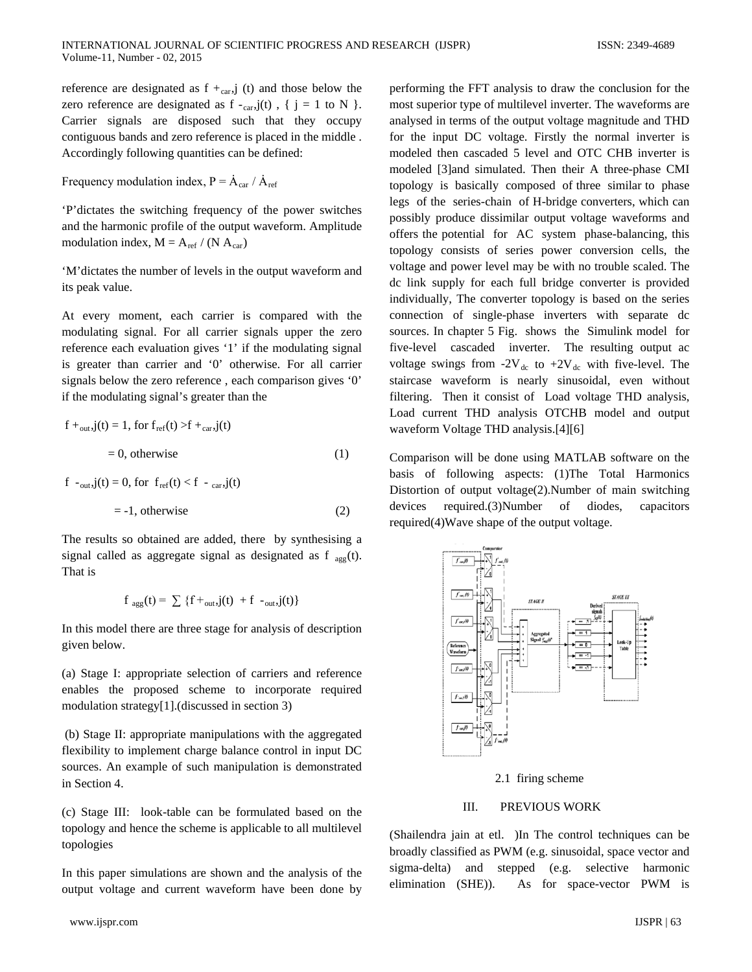reference are designated as  $f +_{car}$  (t) and those below the zero reference are designated as  $f - carr, j(t)$ , {  $j = 1$  to N }. Carrier signals are disposed such that they occupy contiguous bands and zero reference is placed in the middle . Accordingly following quantities can be defined:

Frequency modulation index,  $P = \dot{A}_{car} / \dot{A}_{ref}$ 

'P'dictates the switching frequency of the power switches and the harmonic profile of the output waveform. Amplitude modulation index,  $M = A_{ref} / (N A_{car})$ 

'M'dictates the number of levels in the output waveform and its peak value.

At every moment, each carrier is compared with the modulating signal. For all carrier signals upper the zero reference each evaluation gives '1' if the modulating signal is greater than carrier and '0' otherwise. For all carrier signals below the zero reference , each comparison gives '0' if the modulating signal's greater than the

$$
f +_{out, j}(t) = 1, \text{ for } f_{ref}(t) > f +_{car, j}(t)
$$
\n
$$
= 0, \text{ otherwise} \tag{1}
$$

$$
f_{\text{out},j}(t) = 0, \text{ for } f_{\text{ref}}(t) < f - \text{car}, j(t)
$$
\n
$$
= -1, \text{ otherwise} \tag{2}
$$

The results so obtained are added, there by synthesising a signal called as aggregate signal as designated as f  $_{\text{age}}(t)$ . That is

$$
f_{agg}(t) = \sum \{f +_{out}, j(t) + f_{out}, j(t)\}
$$

In this model there are three stage for analysis of description given below.

(a) Stage I: appropriate selection of carriers and reference enables the proposed scheme to incorporate required modulation strategy[1].(discussed in section 3)

(b) Stage II: appropriate manipulations with the aggregated flexibility to implement charge balance control in input DC sources. An example of such manipulation is demonstrated in Section 4.

(c) Stage III: look-table can be formulated based on the topology and hence the scheme is applicable to all multilevel topologies

In this paper simulations are shown and the analysis of the output voltage and current waveform have been done by

performing the FFT analysis to draw the conclusion for the most superior type of multilevel inverter. The waveforms are analysed in terms of the output voltage magnitude and THD for the input DC voltage. Firstly the normal inverter is modeled then cascaded 5 level and OTC CHB inverter is modeled [3]and simulated. Then their A three-phase CMI topology is basically composed of three similar to phase legs of the series-chain of H-bridge converters, which can possibly produce dissimilar output voltage waveforms and offers the potential for AC system phase-balancing, this topology consists of series power conversion cells, the voltage and power level may be with no trouble scaled. The dc link supply for each full bridge converter is provided individually, The converter topology is based on the series connection of single-phase inverters with separate dc sources. In chapter 5 Fig. shows the Simulink model for five-level cascaded inverter. The resulting output ac voltage swings from -2V<sub>dc</sub> to +2V<sub>dc</sub> with five-level. The staircase waveform is nearly sinusoidal, even without filtering. Then it consist of Load voltage THD analysis, Load current THD analysis OTCHB model and output waveform Voltage THD analysis.[4][6]

Comparison will be done using MATLAB software on the basis of following aspects: (1)The Total Harmonics Distortion of output voltage(2).Number of main switching devices required.(3)Number of diodes, capacitors required(4)Wave shape of the output voltage.



2.1 firing scheme

#### III. PREVIOUS WORK

(Shailendra jain at etl. )In The control techniques can be broadly classified as PWM (e.g. sinusoidal, space vector and sigma-delta) and stepped (e.g. selective harmonic elimination (SHE)). As for space-vector PWM is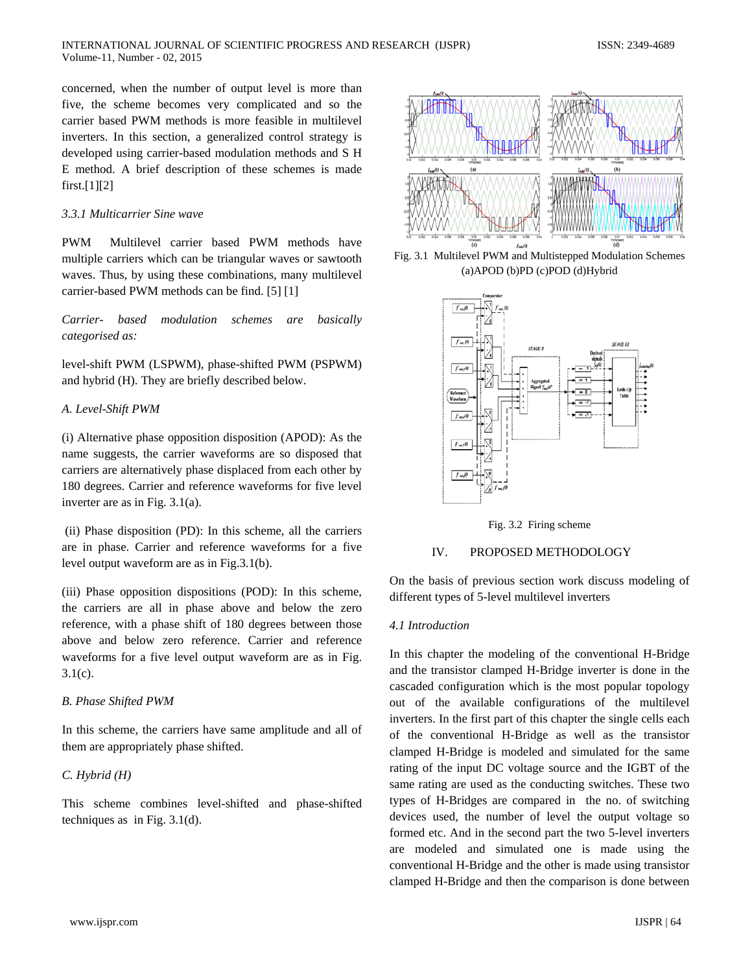concerned, when the number of output level is more than five, the scheme becomes very complicated and so the carrier based PWM methods is more feasible in multilevel inverters. In this section, a generalized control strategy is developed using carrier-based modulation methods and S H E method. A brief description of these schemes is made first.[1][2]

# *3.3.1 Multicarrier Sine wave*

PWM Multilevel carrier based PWM methods have multiple carriers which can be triangular waves or sawtooth waves. Thus, by using these combinations, many multilevel carrier-based PWM methods can be find. [5] [1]

*Carrier- based modulation schemes are basically categorised as:* 

level-shift PWM (LSPWM), phase-shifted PWM (PSPWM) and hybrid (H). They are briefly described below.

# *A. Level-Shift PWM*

(i) Alternative phase opposition disposition (APOD): As the name suggests, the carrier waveforms are so disposed that carriers are alternatively phase displaced from each other by 180 degrees. Carrier and reference waveforms for five level inverter are as in Fig. 3.1(a).

(ii) Phase disposition (PD): In this scheme, all the carriers are in phase. Carrier and reference waveforms for a five level output waveform are as in Fig.3.1(b).

(iii) Phase opposition dispositions (POD): In this scheme, the carriers are all in phase above and below the zero reference, with a phase shift of 180 degrees between those above and below zero reference. Carrier and reference waveforms for a five level output waveform are as in Fig.  $3.1(c)$ .

# *B. Phase Shifted PWM*

In this scheme, the carriers have same amplitude and all of them are appropriately phase shifted.

# *C. Hybrid (H)*

This scheme combines level-shifted and phase-shifted techniques as in Fig. 3.1(d).



Fig. 3.1 Multilevel PWM and Multistepped Modulation Schemes (a)APOD (b)PD (c)POD (d)Hybrid





# IV. PROPOSED METHODOLOGY

On the basis of previous section work discuss modeling of different types of 5-level multilevel inverters

# *4.1 Introduction*

In this chapter the modeling of the conventional H-Bridge and the transistor clamped H-Bridge inverter is done in the cascaded configuration which is the most popular topology out of the available configurations of the multilevel inverters. In the first part of this chapter the single cells each of the conventional H-Bridge as well as the transistor clamped H-Bridge is modeled and simulated for the same rating of the input DC voltage source and the IGBT of the same rating are used as the conducting switches. These two types of H-Bridges are compared in the no. of switching devices used, the number of level the output voltage so formed etc. And in the second part the two 5-level inverters are modeled and simulated one is made using the conventional H-Bridge and the other is made using transistor clamped H-Bridge and then the comparison is done between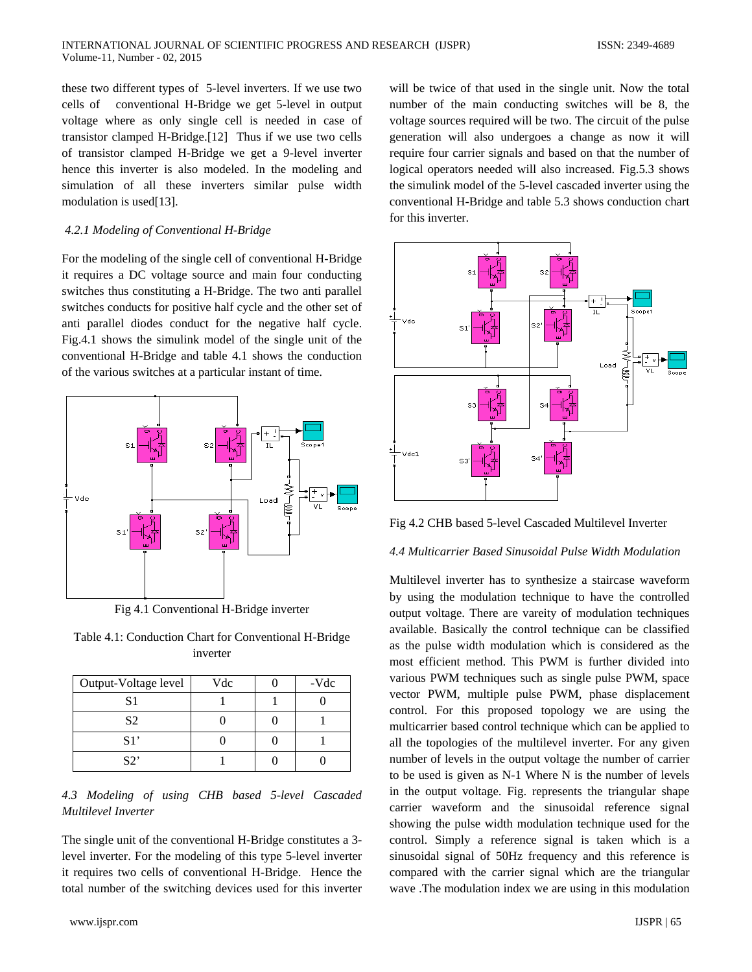these two different types of 5-level inverters. If we use two cells of conventional H-Bridge we get 5-level in output voltage where as only single cell is needed in case of transistor clamped H-Bridge.[12] Thus if we use two cells of transistor clamped H-Bridge we get a 9-level inverter hence this inverter is also modeled. In the modeling and simulation of all these inverters similar pulse width modulation is used[13].

#### *4.2.1 Modeling of Conventional H-Bridge*

For the modeling of the single cell of conventional H-Bridge it requires a DC voltage source and main four conducting switches thus constituting a H-Bridge. The two anti parallel switches conducts for positive half cycle and the other set of anti parallel diodes conduct for the negative half cycle. Fig.4.1 shows the simulink model of the single unit of the conventional H-Bridge and table 4.1 shows the conduction of the various switches at a particular instant of time.



Fig 4.1 Conventional H-Bridge inverter

Table 4.1: Conduction Chart for Conventional H-Bridge inverter

| Output-Voltage level | Vdc | -Vdc |
|----------------------|-----|------|
| S1                   |     |      |
| S <sub>2</sub>       |     |      |
| S1'                  |     |      |
| S                    |     |      |

*4.3 Modeling of using CHB based 5-level Cascaded Multilevel Inverter*

The single unit of the conventional H-Bridge constitutes a 3 level inverter. For the modeling of this type 5-level inverter it requires two cells of conventional H-Bridge. Hence the total number of the switching devices used for this inverter will be twice of that used in the single unit. Now the total number of the main conducting switches will be 8, the voltage sources required will be two. The circuit of the pulse generation will also undergoes a change as now it will require four carrier signals and based on that the number of logical operators needed will also increased. Fig.5.3 shows the simulink model of the 5-level cascaded inverter using the conventional H-Bridge and table 5.3 shows conduction chart for this inverter.



Fig 4.2 CHB based 5-level Cascaded Multilevel Inverter

#### *4.4 Multicarrier Based Sinusoidal Pulse Width Modulation*

Multilevel inverter has to synthesize a staircase waveform by using the modulation technique to have the controlled output voltage. There are vareity of modulation techniques available. Basically the control technique can be classified as the pulse width modulation which is considered as the most efficient method. This PWM is further divided into various PWM techniques such as single pulse PWM, space vector PWM, multiple pulse PWM, phase displacement control. For this proposed topology we are using the multicarrier based control technique which can be applied to all the topologies of the multilevel inverter. For any given number of levels in the output voltage the number of carrier to be used is given as N-1 Where N is the number of levels in the output voltage. Fig. represents the triangular shape carrier waveform and the sinusoidal reference signal showing the pulse width modulation technique used for the control. Simply a reference signal is taken which is a sinusoidal signal of 50Hz frequency and this reference is compared with the carrier signal which are the triangular wave .The modulation index we are using in this modulation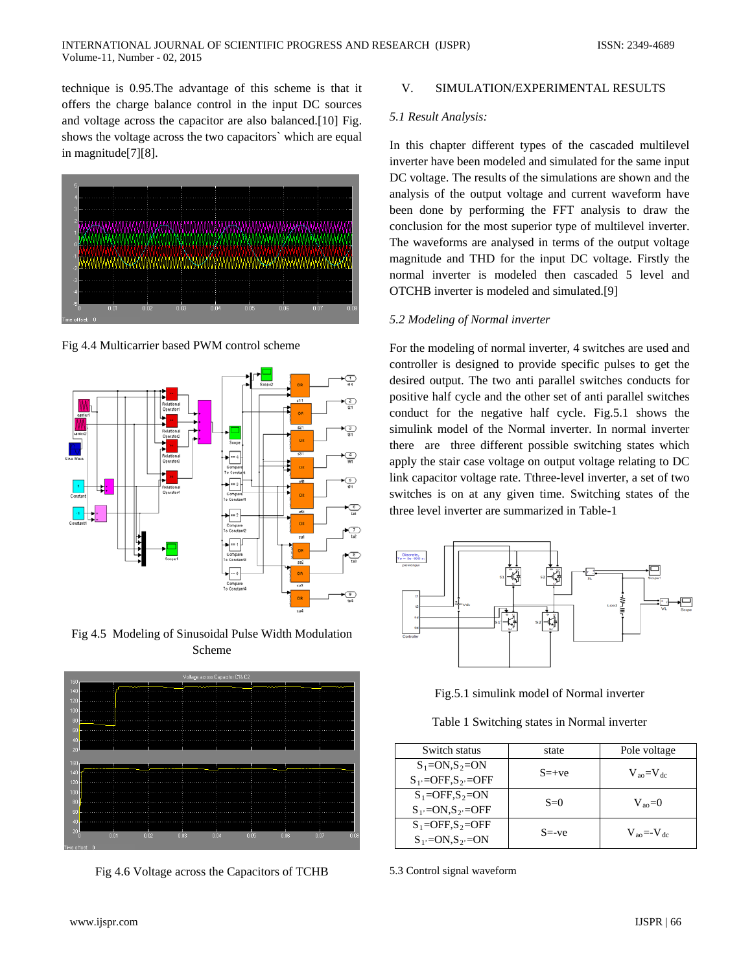technique is 0.95.The advantage of this scheme is that it offers the charge balance control in the input DC sources and voltage across the capacitor are also balanced.[10] Fig. shows the voltage across the two capacitors` which are equal in magnitude[7][8].



Fig 4.4 Multicarrier based PWM control scheme



Fig 4.5 Modeling of Sinusoidal Pulse Width Modulation Scheme



Fig 4.6 Voltage across the Capacitors of TCHB

## V. SIMULATION/EXPERIMENTAL RESULTS

#### *5.1 Result Analysis:*

In this chapter different types of the cascaded multilevel inverter have been modeled and simulated for the same input DC voltage. The results of the simulations are shown and the analysis of the output voltage and current waveform have been done by performing the FFT analysis to draw the conclusion for the most superior type of multilevel inverter. The waveforms are analysed in terms of the output voltage magnitude and THD for the input DC voltage. Firstly the normal inverter is modeled then cascaded 5 level and OTCHB inverter is modeled and simulated.[9]

#### *5.2 Modeling of Normal inverter*

For the modeling of normal inverter, 4 switches are used and controller is designed to provide specific pulses to get the desired output. The two anti parallel switches conducts for positive half cycle and the other set of anti parallel switches conduct for the negative half cycle. Fig.5.1 shows the simulink model of the Normal inverter. In normal inverter there are three different possible switching states which apply the stair case voltage on output voltage relating to DC link capacitor voltage rate. Tthree-level inverter, a set of two switches is on at any given time. Switching states of the three level inverter are summarized in Table-1





Table 1 Switching states in Normal inverter

| Switch status                           | state     | Pole voltage                     |
|-----------------------------------------|-----------|----------------------------------|
| $S_1 = ON.S_2 = ON$                     | $S = +ve$ | $V_{\text{ao}} = V_{\text{dc}}$  |
| $S_1$ =OFF, $S_2$ =OFF                  |           |                                  |
| $S_1 =$ OFF, $S_2 =$ ON                 | $S=0$     | $V_{\rm so}=0$                   |
| $S_1 = ON.S_2 = OFF$                    |           |                                  |
| $S_1 = \text{OFF}$ , $S_2 = \text{OFF}$ | $S = -ve$ | $V_{\text{ao}} = -V_{\text{dc}}$ |
| $S_1$ =ON, $S_2$ =ON                    |           |                                  |

5.3 Control signal waveform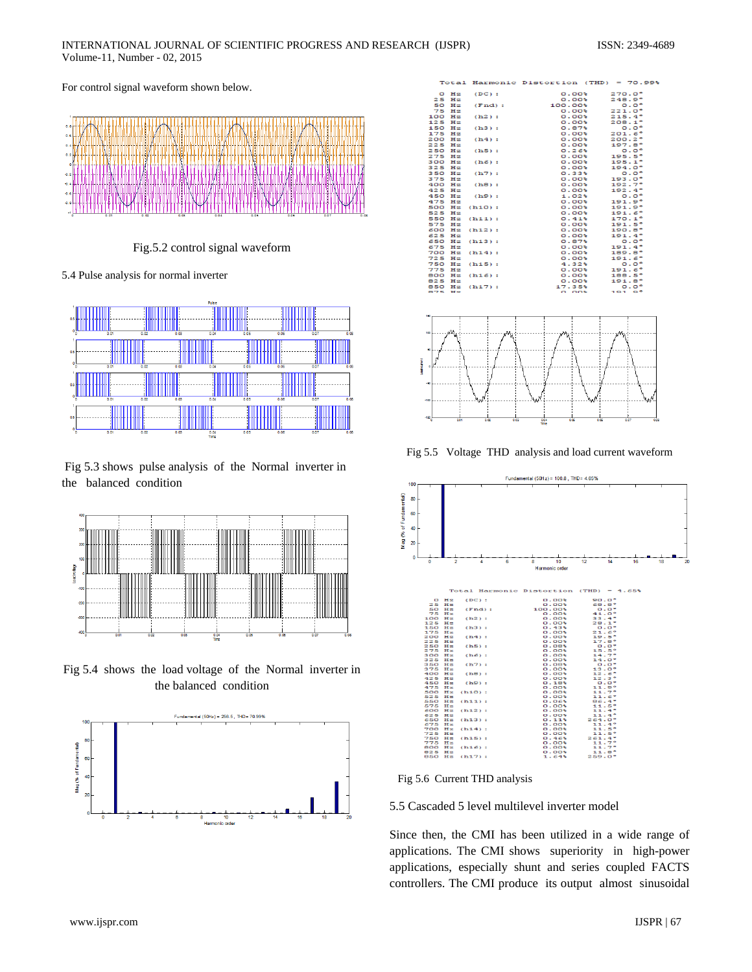For control signal waveform shown below.



Fig.5.2 control signal waveform

5.4 Pulse analysis for normal inverter



Fig 5.3 shows pulse analysis of the Normal inverter in the balanced condition



Fig 5.4 shows the load voltage of the Normal inverter in the balanced condition



|                   |                |           | Total Harmonic Distortion (THD) = 70.99% |                 |
|-------------------|----------------|-----------|------------------------------------------|-----------------|
| $\mathbf{\Omega}$ | Hz             | $(DC)$ :  | $0.00*$                                  | 270.0°          |
| 25                | $H \mathbb{Z}$ |           | 0.001                                    | 248.9°          |
| 50                | Hz             | (Fnd):    | 100.00%                                  | $0.0^\circ$     |
| 75                | HZ             |           | 0.001                                    | 221.0°          |
|                   | 100 Hz         | (h2):     | $0.00*$                                  | 215.4°          |
| 125               | $H \mathbb{Z}$ |           | $0.00*$                                  | $208.1^{\circ}$ |
| 150               | Hz             | (h3):     | 0.87                                     | $0.0^\circ$     |
| 175               | Ηz             |           | 0.00                                     | $201.6^{\circ}$ |
| 200               | Hz             | (h4):     | 0.00                                     | $200.2^{\circ}$ |
| 225               | Hz             |           | $0.00*$                                  | $197.8^{\circ}$ |
| 250               | $H \mathbb{Z}$ | (h5):     | 0.26                                     | $0.0^\circ$     |
| 275               | Ηz             |           | $0.00*$                                  | $195.5^{\circ}$ |
| 300               | Hz             | $(h6)$ :  | $0.00*$                                  | $195.1^{\circ}$ |
| 325               | $_{\rm Hz}$    |           | $0.00*$                                  | $194.0^{\circ}$ |
| 350               | $H \equiv$     | (h7):     | $0.33$ %                                 | $0.0^\circ$     |
| 375               | Hz             |           | $0.00*$                                  | $193.0^{\circ}$ |
| 400               | $_{\rm Hz}$    | (h8):     | $0.00*$                                  | 192.7°          |
| 425               | Hz             |           | $0.00*$                                  | 192.4°          |
|                   | 450 Hz         | (h9):     | $1.02$ <sup>*</sup>                      | $0.0^\circ$     |
| 475               | Hz             |           | 0.00                                     | 191.9°          |
| 500               | Hz             | (h10):    | $0.00*$                                  | 191.9°          |
| 525               | $H \mathbb{Z}$ |           | 0.00                                     | 191.6°          |
| 550               | Ηz             | (h11):    | 0.41                                     | $170.1^{\circ}$ |
| 575               | Hz             |           | 0.001                                    | 191.5°          |
| 600               | Hz             | (h12):    | $0.00*$                                  | $190.8^{\circ}$ |
| 625               | $H \mathbb{Z}$ |           | $0.00*$                                  | 191.4°          |
| 650               | Hz             | (h13):    | 0.87                                     | $0.0^\circ$     |
| 675               | Hz             |           | $0.00*$                                  | 191.4°          |
| 700               | Hz             | $(h14)$ : | $0.00*$                                  | 189.8°          |
| 725               | $_{\rm Hz}$    |           | $0.00*$                                  | $191.6^{\circ}$ |
| 750               | Hz             | $(h15)$ : | 4.32                                     | $0.0^\circ$     |
| 775               | Ηz             |           | 0.00                                     | $191.6^{\circ}$ |
|                   | 800 Hz         | $(h16)$ : | 0.00                                     | 188.5°          |
| 825               | H z            |           | $0.00*$                                  | 191.8°          |
|                   | 850 Hz         | (h17):    | 17.35%                                   | $0.0^\circ$     |
| 875               | H <sub>2</sub> |           | n nns                                    | $191.9^\circ$   |
|                   |                |           |                                          |                 |



Fig 5.5 Voltage THD analysis and load current waveform



Fig 5.6 Current THD analysis

#### 5.5 Cascaded 5 level multilevel inverter model

Since then, the CMI has been utilized in a wide range of applications. The CMI shows superiority in high-power applications, especially shunt and series coupled FACTS controllers. The CMI produce its output almost sinusoidal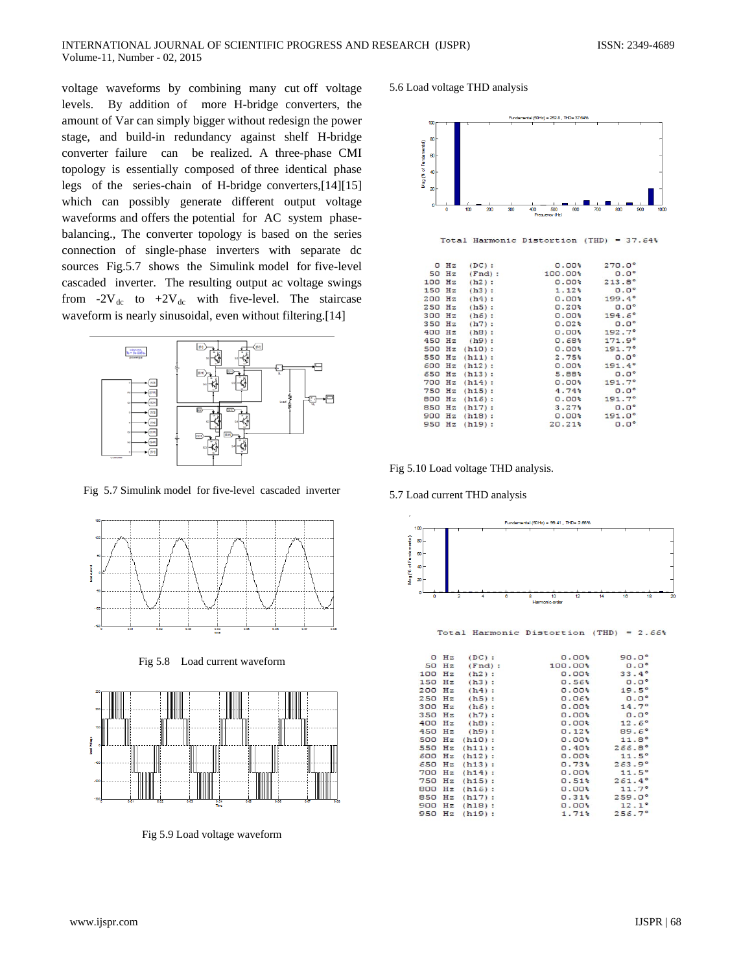voltage waveforms by combining many cut off voltage levels. By addition of more H-bridge converters, the amount of Var can simply bigger without redesign the power stage, and build-in redundancy against shelf H-bridge converter failure can be realized. A three-phase CMI topology is essentially composed of three identical phase legs of the series-chain of H-bridge converters,[14][15] which can possibly generate different output voltage waveforms and offers the potential for AC system phasebalancing., The converter topology is based on the series connection of single-phase inverters with separate dc sources Fig.5.7 shows the Simulink model for five-level cascaded inverter. The resulting output ac voltage swings from -2 $V_{dc}$  to +2 $V_{dc}$  with five-level. The staircase waveform is nearly sinusoidal, even without filtering.[14]



Fig 5.7 Simulink model for five-level cascaded inverter



Fig 5.8 Load current waveform



Fig 5.9 Load voltage waveform

#### 5.6 Load voltage THD analysis



Fig 5.10 Load voltage THD analysis.

5.7 Load current THD analysis



Total Harmonic Distortion (THD) = 2.66%

|        | $0$ Hz | $(DC)$ :  | 0.00      | $90.0^{\circ}$  |
|--------|--------|-----------|-----------|-----------------|
| 50     | Hz     | (Fnd):    | $100.00*$ | $0.0^\circ$     |
| 100    | Hz     | $(h2)$ :  | 0.00      | 33.4°           |
| 150    | Hz     | $(h3)$ :  | 0.56%     | $0.0^\circ$     |
| 200 Hz |        | $(h4)$ :  | $0.00*$   | 19.5°           |
| 250    | Ηz     | $(h5)$ :  | 0.06      | $0.0^\circ$     |
| 300    | Hz     | (h6):     | $0.00*$   | 14.7°           |
| 350    | Hz     | $(h7)$ :  | $0.00*$   | $0.0^\circ$     |
| 400    | Hz     | (h8):     | $0.00*$   | $12.6^{\circ}$  |
| 450    | Hz     | (h9):     | 0.12      | $89.6^{\circ}$  |
| 500    | Hz     | (h10):    | $0.00*$   | $11.8^\circ$    |
| 550    | Ηz     | (h11):    | 0.40      | 266.8°          |
| 600    | Hz     | $(h12)$ : | $0.00*$   | $11.5^\circ$    |
| 650    | Hz     | $(h13)$ : | 0.73      | 263.9°          |
| 700    | Hz     | (h14):    | $0.00*$   | 11.5°           |
| 750    | Hz     | $(h15)$ : | 0.51      | 261.4°          |
| 800    | Hz     | $(h16)$ : | 0.00      | 11.7°           |
| 850    | Hz     | (h17):    | 0.31      | $259.0^{\circ}$ |
| 900    | Hz     | $(h18)$ : | $0.00*$   | $12.1^\circ$    |
| 950    | Ηz     | $(h19)$ : | 1.71      | 256.7°          |
|        |        |           |           |                 |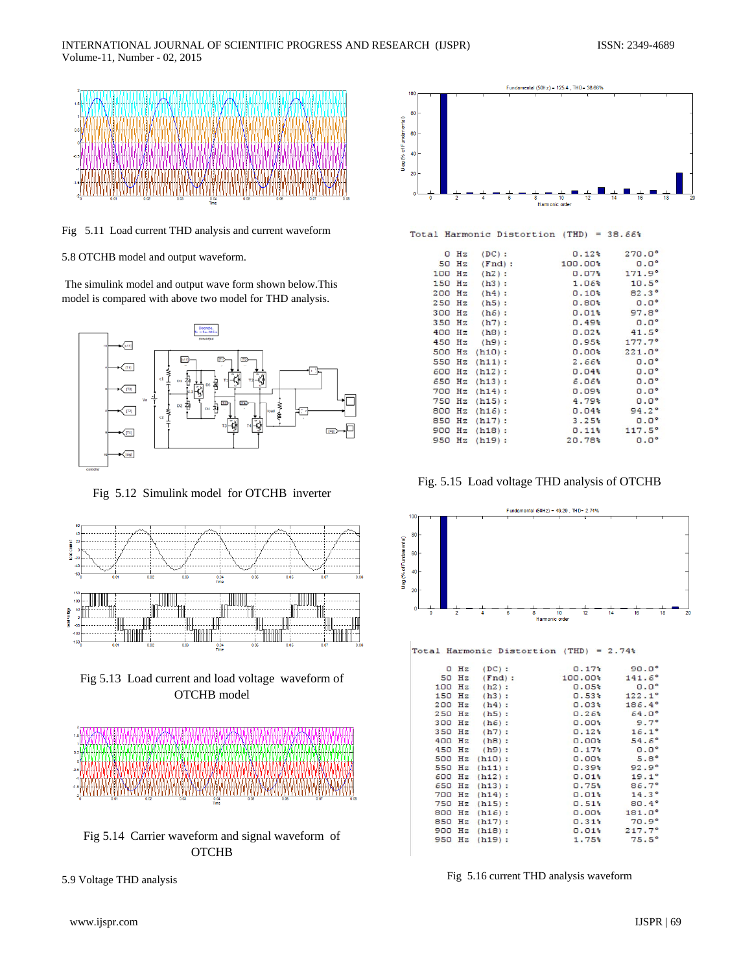

Fig 5.11 Load current THD analysis and current waveform

5.8 OTCHB model and output waveform.

The simulink model and output wave form shown below.This model is compared with above two model for THD analysis.



Fig 5.12 Simulink model for OTCHB inverter







Fig 5.14 Carrier waveform and signal waveform of **OTCHB** 





Total Harmonic Distortion (THD) = 38.66%

|        | $0$ Hz | $(DC)$ :  | 0.12    | $270.0^{\circ}$ |
|--------|--------|-----------|---------|-----------------|
|        | 50 Hz  | (Fnd):    | 100.00% | $0.0^\circ$     |
| 100    | Hz     | (h2):     | 0.07%   | 171.9°          |
| 150    | Hz     | (h3):     | 1.06%   | $10.5^{\circ}$  |
| 200    | Hz     | (h4):     | 0.10    | $82.3^\circ$    |
| 250    | Hz     | (h5):     | 0.80    | $0.0^\circ$     |
| 300    | Hz     | $(h6)$ :  | 0.01    | $97.8^{\circ}$  |
| 350 Hz |        | (h7):     | $0.49*$ | $0.0^\circ$     |
| 400    | Hz     | (h8):     | 0.02    | 41.5°           |
| 450    | Hz     | (h9):     | 0.95%   | $177.7^{\circ}$ |
| 500    | Hz     | $(h10)$ : | $0.00*$ | $221.0^{\circ}$ |
| 550    | Hz     | (h11):    | 2.66%   | $0.0^\circ$     |
| 600    | Hz     | $(h12)$ : | 0.04%   | $0.0^{\circ}$   |
| 650    | Hz     | (h13):    | 6.06%   | $0.0^{\circ}$   |
| 700    | Hz     | (h14):    | 0.09    | $0.0^{\circ}$   |
| 750    | Hz     | $(h15)$ : | 4.79%   | $0.0^{\circ}$   |
| 800    | Ηz     | $(h16)$ : | 0.04%   | $94.2^{\circ}$  |
| 850    | Ηz     | $(h17)$ : | 3.25%   | $0.0^\circ$     |
| 900    | Hz     | (h18):    | 0.11    | 117.5°          |
| 950    | Hz     | $(h19)$ : | 20.78%  | $0.0^\circ$     |
|        |        |           |         |                 |

Fig. 5.15 Load voltage THD analysis of OTCHB



Total Harmonic Distortion (THD) = 2.74%

|     | $0$ Hz | (DC):     | 0.17                | $90.0^{\circ}$  |
|-----|--------|-----------|---------------------|-----------------|
| 50  | Hz     | (Fnd):    | 100.00              | $141.6^{\circ}$ |
| 100 | Hz     | (h2):     | 0.05%               | $0.0^\circ$     |
| 150 | Hz     | (h3):     | $0.53*$             | $122.1^\circ$   |
| 200 | Hz     | (h4):     | 0.03%               | 186.4°          |
| 250 | Hz     | (h5):     | 0.26%               | $64.0^{\circ}$  |
| 300 | Hz     | $(h6)$ :  | $0.00*$             | 9.7°            |
| 350 | Hz     | $(h7)$ :  | 0.12                | $16.1^{\circ}$  |
| 400 | Hz     | (h8):     | $0.00*$             | 54.6°           |
| 450 | Hz     | (h9):     | 0.17                | $0.0^\circ$     |
| 500 | Hz     | (h10):    | $0.00*$             | 5.8°            |
| 550 | Hz     | (h11):    | $0.39$ <sup>*</sup> | 92.9°           |
| 600 | Hz     | $(h12)$ : | 0.01                | $19.1^{\circ}$  |
| 650 | Hz     | $(h13)$ : | 0.75%               | 86.7°           |
| 700 | Hz     | $(h14)$ : | 0.01                | $14.3^{\circ}$  |
| 750 | Hz     | $(h15)$ : | 0.51                | $80.4^{\circ}$  |
| 800 | Hz     | $(h16)$ : | $0.00*$             | $181.0^{\circ}$ |
| 850 | Hz     | (h17):    | 0.31                | 70.9°           |
| 900 | Hz     | $(h18)$ : | 0.01                | 217.7°          |
| 950 | Hz     | $(h19)$ : | 1.75%               | $75.5^{\circ}$  |
|     |        |           |                     |                 |

Fig 5.16 current THD analysis waveform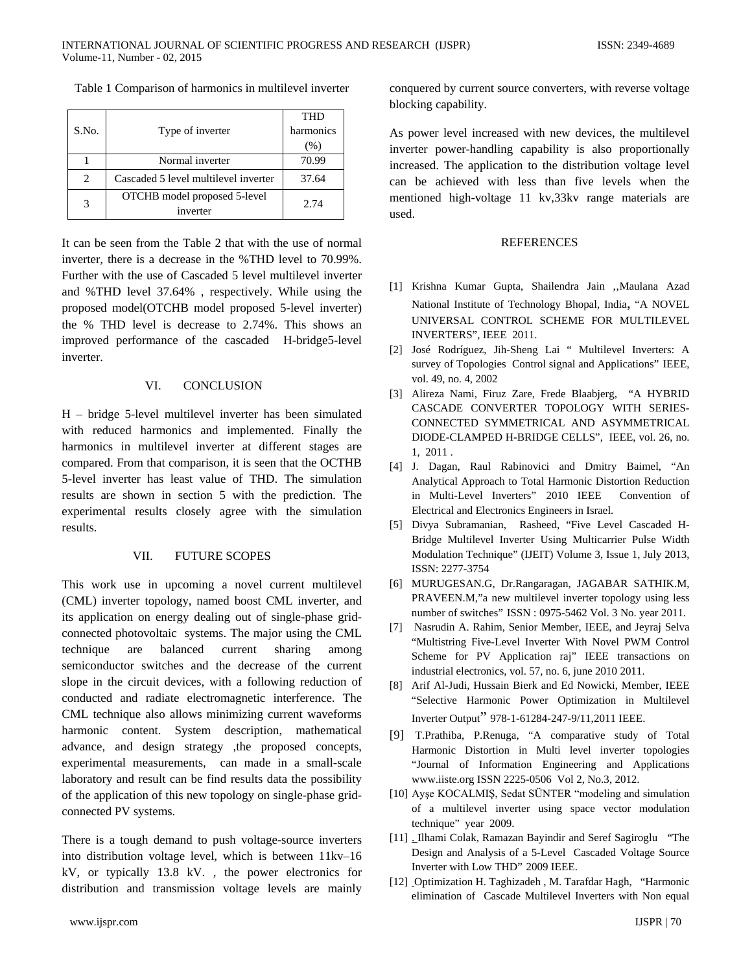Table 1 Comparison of harmonics in multilevel inverter

|                               |                                      | THD       |  |
|-------------------------------|--------------------------------------|-----------|--|
| S.No.                         | Type of inverter                     | harmonics |  |
|                               |                                      | (% )      |  |
|                               | Normal inverter                      | 70.99     |  |
| $\mathfrak{D}_{\mathfrak{p}}$ | Cascaded 5 level multilevel inverter | 37.64     |  |
| 3                             | OTCHB model proposed 5-level         | 2.74      |  |
|                               | inverter                             |           |  |

It can be seen from the Table 2 that with the use of normal inverter, there is a decrease in the %THD level to 70.99%. Further with the use of Cascaded 5 level multilevel inverter and %THD level 37.64% , respectively. While using the proposed model(OTCHB model proposed 5-level inverter) the % THD level is decrease to 2.74%. This shows an improved performance of the cascaded H-bridge5-level inverter.

## VI. CONCLUSION

H – bridge 5-level multilevel inverter has been simulated with reduced harmonics and implemented. Finally the harmonics in multilevel inverter at different stages are compared. From that comparison, it is seen that the OCTHB 5-level inverter has least value of THD. The simulation results are shown in section 5 with the prediction. The experimental results closely agree with the simulation results.

#### VII. FUTURE SCOPES

This work use in upcoming a novel current multilevel (CML) inverter topology, named boost CML inverter, and its application on energy dealing out of single-phase gridconnected photovoltaic systems. The major using the CML technique are balanced current sharing among semiconductor switches and the decrease of the current slope in the circuit devices, with a following reduction of conducted and radiate electromagnetic interference. The CML technique also allows minimizing current waveforms harmonic content. System description, mathematical advance, and design strategy ,the proposed concepts, experimental measurements, can made in a small-scale laboratory and result can be find results data the possibility of the application of this new topology on single-phase gridconnected PV systems.

There is a tough demand to push voltage-source inverters into distribution voltage level, which is between 11kv–16 kV, or typically 13.8 kV. , the power electronics for distribution and transmission voltage levels are mainly conquered by current source converters, with reverse voltage blocking capability.

As power level increased with new devices, the multilevel inverter power-handling capability is also proportionally increased. The application to the distribution voltage level can be achieved with less than five levels when the mentioned high-voltage 11 kv,33kv range materials are used.

#### REFERENCES

- [1] Krishna Kumar Gupta, Shailendra Jain "Maulana Azad National Institute of Technology Bhopal, India, "A NOVEL UNIVERSAL CONTROL SCHEME FOR MULTILEVEL INVERTERS", IEEE 2011.
- [2] José Rodríguez, Jih-Sheng Lai " Multilevel Inverters: A survey of Topologies Control signal and Applications" IEEE, vol. 49, no. 4, 2002
- [3] Alireza Nami, Firuz Zare, Frede Blaabjerg, "A HYBRID CASCADE CONVERTER TOPOLOGY WITH SERIES-CONNECTED SYMMETRICAL AND ASYMMETRICAL DIODE-CLAMPED H-BRIDGE CELLS", IEEE, vol. 26, no. 1, 2011 .
- [4] J. Dagan, Raul Rabinovici and Dmitry Baimel, "An Analytical Approach to Total Harmonic Distortion Reduction in Multi-Level Inverters" 2010 IEEE Convention of Electrical and Electronics Engineers in Israel.
- [5] Divya Subramanian, Rasheed, "Five Level Cascaded H-Bridge Multilevel Inverter Using Multicarrier Pulse Width Modulation Technique" (IJEIT) Volume 3, Issue 1, July 2013, ISSN: 2277-3754
- [6] MURUGESAN.G, Dr.Rangaragan, JAGABAR SATHIK.M, PRAVEEN.M,"a new multilevel inverter topology using less number of switches" ISSN : 0975-5462 Vol. 3 No. year 2011.
- [7] Nasrudin A. Rahim, Senior Member, IEEE, and Jeyraj Selva "Multistring Five-Level Inverter With Novel PWM Control Scheme for PV Application raj" IEEE transactions on industrial electronics, vol. 57, no. 6, june 2010 2011.
- [8] Arif Al-Judi, Hussain Bierk and Ed Nowicki, Member, IEEE "Selective Harmonic Power Optimization in Multilevel Inverter Output" 978-1-61284-247-9/11,2011 IEEE.
- [9] T.Prathiba, P.Renuga, "A comparative study of Total Harmonic Distortion in Multi level inverter topologies "Journal of Information Engineering and Applications www.iiste.org ISSN 2225-0506 Vol 2, No.3, 2012.
- [10] Ayşe KOCALMIŞ, Sedat SÜNTER "modeling and simulation of a multilevel inverter using space vector modulation technique" year 2009.
- [11] . Ilhami Colak, Ramazan Bayindir and Seref Sagiroglu "The Design and Analysis of a 5-Level Cascaded Voltage Source Inverter with Low THD" 2009 IEEE.
- [12] Optimization H. Taghizadeh , M. Tarafdar Hagh, "Harmonic elimination of Cascade Multilevel Inverters with Non equal